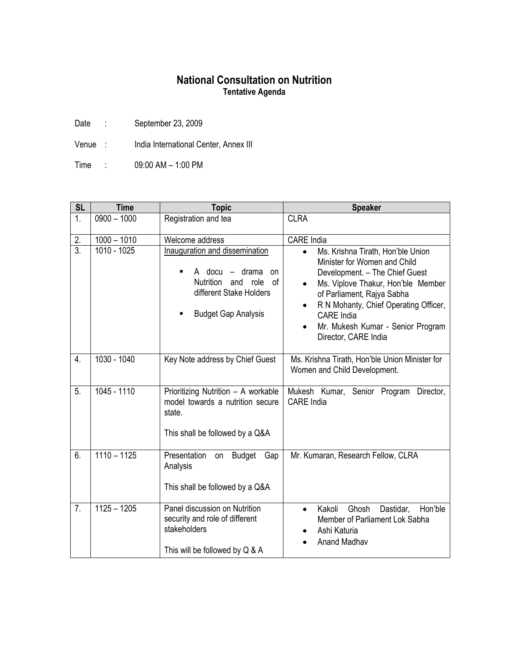## **National Consultation on Nutrition Tentative Agenda**

Date : September 23, 2009

Venue : India International Center, Annex III

Time : 09:00 AM – 1:00 PM

| <b>SL</b>        | <b>Time</b>   | <b>Topic</b>                                                                                                                                                     | <b>Speaker</b>                                                                                                                                                                                                                                                                                                                                  |
|------------------|---------------|------------------------------------------------------------------------------------------------------------------------------------------------------------------|-------------------------------------------------------------------------------------------------------------------------------------------------------------------------------------------------------------------------------------------------------------------------------------------------------------------------------------------------|
| 1.               | $0900 - 1000$ | Registration and tea                                                                                                                                             | <b>CLRA</b>                                                                                                                                                                                                                                                                                                                                     |
| 2.               | $1000 - 1010$ | Welcome address                                                                                                                                                  | <b>CARE</b> India                                                                                                                                                                                                                                                                                                                               |
| $\overline{3}$ . | 1010 - 1025   | Inauguration and dissemination<br>A docu $-$<br>drama<br>on<br>٠<br>Nutrition<br>of<br>and<br>role<br>different Stake Holders<br><b>Budget Gap Analysis</b><br>■ | Ms. Krishna Tirath, Hon'ble Union<br>$\bullet$<br>Minister for Women and Child<br>Development. - The Chief Guest<br>Ms. Viplove Thakur, Hon'ble Member<br>$\bullet$<br>of Parliament, Rajya Sabha<br>R N Mohanty, Chief Operating Officer,<br>$\bullet$<br>CARE India<br>Mr. Mukesh Kumar - Senior Program<br>$\bullet$<br>Director, CARE India |
| $\overline{4}$ . | 1030 - 1040   | Key Note address by Chief Guest                                                                                                                                  | Ms. Krishna Tirath, Hon'ble Union Minister for<br>Women and Child Development.                                                                                                                                                                                                                                                                  |
| 5.               | $1045 - 1110$ | Prioritizing Nutrition - A workable<br>model towards a nutrition secure<br>state.<br>This shall be followed by a Q&A                                             | Mukesh Kumar, Senior Program<br>Director,<br><b>CARE</b> India                                                                                                                                                                                                                                                                                  |
| 6.               | $1110 - 1125$ | Presentation<br>Budget<br>Gap<br>on<br>Analysis<br>This shall be followed by a Q&A                                                                               | Mr. Kumaran, Research Fellow, CLRA                                                                                                                                                                                                                                                                                                              |
| 7.               | $1125 - 1205$ | Panel discussion on Nutrition<br>security and role of different<br>stakeholders<br>This will be followed by Q & A                                                | Hon'ble<br>Kakoli<br>Ghosh<br>Dastidar,<br>$\bullet$<br>Member of Parliament Lok Sabha<br>Ashi Katuria<br><b>Anand Madhav</b>                                                                                                                                                                                                                   |